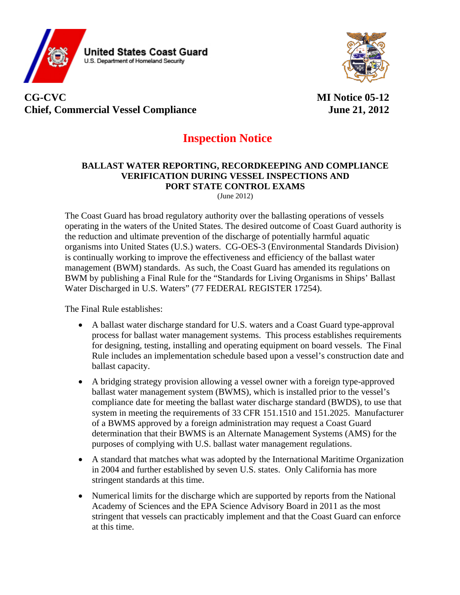

## **CG-CVC MI Notice 05-12 Chief, Commercial Vessel Compliance June 21, 2012**

# **Inspection Notice**

#### **BALLAST WATER REPORTING, RECORDKEEPING AND COMPLIANCE VERIFICATION DURING VESSEL INSPECTIONS AND PORT STATE CONTROL EXAMS** (June 2012)

The Coast Guard has broad regulatory authority over the ballasting operations of vessels operating in the waters of the United States. The desired outcome of Coast Guard authority is the reduction and ultimate prevention of the discharge of potentially harmful aquatic organisms into United States (U.S.) waters. CG-OES-3 (Environmental Standards Division) is continually working to improve the effectiveness and efficiency of the ballast water management (BWM) standards. As such, the Coast Guard has amended its regulations on BWM by publishing a Final Rule for the "Standards for Living Organisms in Ships' Ballast Water Discharged in U.S. Waters" (77 FEDERAL REGISTER 17254).

The Final Rule establishes:

- A ballast water discharge standard for U.S. waters and a Coast Guard type-approval process for ballast water management systems. This process establishes requirements for designing, testing, installing and operating equipment on board vessels. The Final Rule includes an implementation schedule based upon a vessel's construction date and ballast capacity.
- A bridging strategy provision allowing a vessel owner with a foreign type-approved ballast water management system (BWMS), which is installed prior to the vessel's compliance date for meeting the ballast water discharge standard (BWDS), to use that system in meeting the requirements of 33 CFR 151.1510 and 151.2025. Manufacturer of a BWMS approved by a foreign administration may request a Coast Guard determination that their BWMS is an Alternate Management Systems (AMS) for the purposes of complying with U.S. ballast water management regulations.
- A standard that matches what was adopted by the International Maritime Organization in 2004 and further established by seven U.S. states. Only California has more stringent standards at this time.
- Numerical limits for the discharge which are supported by reports from the National Academy of Sciences and the EPA Science Advisory Board in 2011 as the most stringent that vessels can practicably implement and that the Coast Guard can enforce at this time.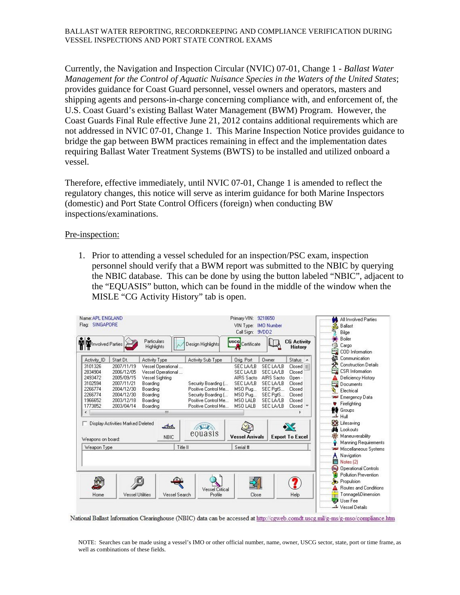Currently, the Navigation and Inspection Circular (NVIC) 07-01, Change 1 - *Ballast Water Management for the Control of Aquatic Nuisance Species in the Waters of the United States*; provides guidance for Coast Guard personnel, vessel owners and operators, masters and shipping agents and persons-in-charge concerning compliance with, and enforcement of, the U.S. Coast Guard's existing Ballast Water Management (BWM) Program. However, the Coast Guards Final Rule effective June 21, 2012 contains additional requirements which are not addressed in NVIC 07-01, Change 1. This Marine Inspection Notice provides guidance to bridge the gap between BWM practices remaining in effect and the implementation dates requiring Ballast Water Treatment Systems (BWTS) to be installed and utilized onboard a vessel.

Therefore, effective immediately, until NVIC 07-01, Change 1 is amended to reflect the regulatory changes, this notice will serve as interim guidance for both Marine Inspectors (domestic) and Port State Control Officers (foreign) when conducting BW inspections/examinations.

#### Pre-inspection:

1. Prior to attending a vessel scheduled for an inspection/PSC exam, inspection personnel should verify that a BWM report was submitted to the NBIC by querying the NBIC database. This can be done by using the button labeled "NBIC", adjacent to the "EQUASIS" button, which can be found in the middle of the window when the MISLE "CG Activity History" tab is open.

| Name: APL ENGLAND<br>Flag: SINGAPORE                                                                     |                                                                                                                           |                                                                                                                                                      |                                                                                                                                      | Primary VIN: 9218650<br>VIN Type: IMO Number<br>Call Sign: 9VDD2                                                     |                                                                                                                                   |                                                                                                        | All Involved Parties<br>Ballast<br>Bilge                                                                                                                                                                                                    |  |
|----------------------------------------------------------------------------------------------------------|---------------------------------------------------------------------------------------------------------------------------|------------------------------------------------------------------------------------------------------------------------------------------------------|--------------------------------------------------------------------------------------------------------------------------------------|----------------------------------------------------------------------------------------------------------------------|-----------------------------------------------------------------------------------------------------------------------------------|--------------------------------------------------------------------------------------------------------|---------------------------------------------------------------------------------------------------------------------------------------------------------------------------------------------------------------------------------------------|--|
| Involved Parties                                                                                         |                                                                                                                           | Particulars<br>Į.<br><b>Highlights</b>                                                                                                               | Design Highlights                                                                                                                    | <b>USCG</b><br>Certificate                                                                                           |                                                                                                                                   | <b>CG Activity</b><br><b>History</b>                                                                   | 鲕<br>Boiler<br>$\mathbb{R}^n$<br>Cargo<br>uny<br>COD Information                                                                                                                                                                            |  |
| Activity ID<br>3101326<br>2834904<br>2493472<br>3102594<br>2266774<br>2266774<br>1966652<br>1773852<br>∢ | Start Dt.<br>2007/11/19<br>2006/12/05<br>2005/09/15<br>2007/11/21<br>2004/12/30<br>2004/12/30<br>2003/12/18<br>2003/04/14 | Activity Type<br>Vessel Operational<br>Vessel Operational<br><b>Vessel Sighting</b><br>Boarding<br>Boarding<br>Boarding<br>Boarding<br>Boarding<br>Ш | Activity Sub Type<br>Security Boarding [<br>Positive Control Me<br>Security Boarding [<br>Positive Control Me<br>Positive Control Me | Orig. Port<br>SEC LA/LB<br><b>SEC LA/LB</b><br>AIRS Sacto<br>SEC LA/LB<br>MSO Pug<br>MSO Pug<br>MSO LALB<br>MSO LALB | Owner<br><b>SEC LA/LB</b><br><b>SEC LA/LB</b><br>AIRS Sacto<br>SEC LA/LB<br>SEC PatS<br>SEC PatS<br><b>SEC LA/LB</b><br>SEC LA/LB | Status $\sim$<br>$Closed \equiv$<br>Closed<br>Open -<br>Closed<br>Closed<br>Closed<br>Closed<br>Closed | Communication<br>۵N<br><b>Construction Details</b><br>uny<br><b>CSR</b> Information<br>Deficiency History<br>uny.<br>Documents<br>$\mathbf{r}_1$<br>Electrical<br><b>Red Emergency Data</b><br>Firefighting<br>Groups<br>$\rightarrow$ Hull |  |
| Weapons on board:<br>Weapon Type                                                                         | Display Activities Marked Deleted                                                                                         | لمباد<br><b>NBIC</b><br>Title II                                                                                                                     | A<br>equasis                                                                                                                         | <b>Vessel Arrivals</b><br>Serial #                                                                                   |                                                                                                                                   | ╳<br><b>Export To Excel</b>                                                                            | <b>REA</b> Lifesaving<br><b>dd</b> Lookouts<br>验<br>Maneuverability<br><b>Manning Requirements</b><br>Miscellaneous Systems<br>Navigation<br>Notes (2)                                                                                      |  |
| Home                                                                                                     | <b>Vessel Utilities</b>                                                                                                   | Vessel Search                                                                                                                                        | <b>Vessel Critical</b><br>Profile                                                                                                    | Close                                                                                                                |                                                                                                                                   | Help                                                                                                   | ھ<br><b>Operational Controls</b><br><b>Pollution Prevention</b><br>r.<br>Propulsion<br>Routes and Conditions<br>Tonnage&Dimension<br><b>UserFee</b><br>- 15<br>Vessel Details                                                               |  |

National Ballast Information Clearinghouse (NBIC) data can be accessed at http://cgweb.comdt.uscg.mil/g-ms/g-mso/compliance.htm

NOTE: Searches can be made using a vessel's IMO or other official number, name, owner, USCG sector, state, port or time frame, as well as combinations of these fields.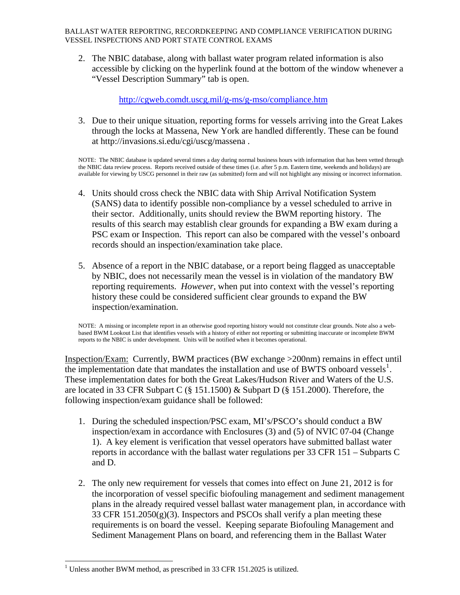BALLAST WATER REPORTING, RECORDKEEPING AND COMPLIANCE VERIFICATION DURING VESSEL INSPECTIONS AND PORT STATE CONTROL EXAMS

2. The NBIC database, along with ballast water program related information is also accessible by clicking on the hyperlink found at the bottom of the window whenever a "Vessel Description Summary" tab is open.

<http://cgweb.comdt.uscg.mil/g-ms/g-mso/compliance.htm>

3. Due to their unique situation, reporting forms for vessels arriving into the Great Lakes through the locks at Massena, New York are handled differently. These can be found at<http://invasions.si.edu/cgi/uscg/massena>.

NOTE: The NBIC database is updated several times a day during normal business hours with information that has been vetted through the NBIC data review process. Reports received outside of these times (i.e. after 5 p.m. Eastern time, weekends and holidays) are available for viewing by USCG personnel in their raw (as submitted) form and will not highlight any missing or incorrect information.

- 4. Units should cross check the NBIC data with Ship Arrival Notification System (SANS) data to identify possible non-compliance by a vessel scheduled to arrive in their sector. Additionally, units should review the BWM reporting history. The results of this search may establish clear grounds for expanding a BW exam during a PSC exam or Inspection. This report can also be compared with the vessel's onboard records should an inspection/examination take place.
- 5. Absence of a report in the NBIC database, or a report being flagged as unacceptable by NBIC, does not necessarily mean the vessel is in violation of the mandatory BW reporting requirements. *However*, when put into context with the vessel's reporting history these could be considered sufficient clear grounds to expand the BW inspection/examination.

NOTE: A missing or incomplete report in an otherwise good reporting history would not constitute clear grounds. Note also a webbased BWM Lookout List that identifies vessels with a history of either not reporting or submitting inaccurate or incomplete BWM reports to the NBIC is under development. Units will be notified when it becomes operational.

Inspection/Exam: Currently, BWM practices (BW exchange >200nm) remains in effect until the implementation date that mandates the installation and use of BWTS onboard vessels<sup>[1](#page-2-0)</sup>. These implementation dates for both the Great Lakes/Hudson River and Waters of the U.S. are located in 33 CFR Subpart C (§ 151.1500) & Subpart D (§ 151.2000). Therefore, the following inspection/exam guidance shall be followed:

- 1. During the scheduled inspection/PSC exam, MI's/PSCO's should conduct a BW inspection/exam in accordance with Enclosures (3) and (5) of NVIC 07-04 (Change 1). A key element is verification that vessel operators have submitted ballast water reports in accordance with the ballast water regulations per 33 CFR 151 – Subparts C and D.
- 2. The only new requirement for vessels that comes into effect on June 21, 2012 is for the incorporation of vessel specific biofouling management and sediment management plans in the already required vessel ballast water management plan, in accordance with 33 CFR  $151.2050(g)(3)$ . Inspectors and PSCOs shall verify a plan meeting these requirements is on board the vessel. Keeping separate Biofouling Management and Sediment Management Plans on board, and referencing them in the Ballast Water

l

<span id="page-2-0"></span><sup>1</sup> Unless another BWM method, as prescribed in 33 CFR 151.2025 is utilized.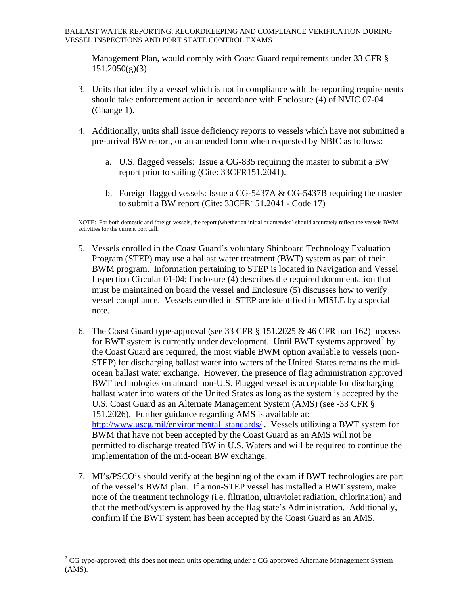Management Plan, would comply with Coast Guard requirements under 33 CFR §  $151.2050(g)(3)$ .

- 3. Units that identify a vessel which is not in compliance with the reporting requirements should take enforcement action in accordance with Enclosure (4) of NVIC 07-04 (Change 1).
- 4. Additionally, units shall issue deficiency reports to vessels which have not submitted a pre-arrival BW report, or an amended form when requested by NBIC as follows:
	- a. U.S. flagged vessels: Issue a CG-835 requiring the master to submit a BW report prior to sailing (Cite: 33CFR151.2041).
	- b. Foreign flagged vessels: Issue a CG-5437A & CG-5437B requiring the master to submit a BW report (Cite: 33CFR151.2041 - Code 17)

NOTE: For both domestic and foreign vessels, the report (whether an initial or amended) should accurately reflect the vessels BWM activities for the current port call.

- 5. Vessels enrolled in the Coast Guard's voluntary Shipboard Technology Evaluation Program (STEP) may use a ballast water treatment (BWT) system as part of their BWM program. Information pertaining to STEP is located in Navigation and Vessel Inspection Circular 01-04; Enclosure (4) describes the required documentation that must be maintained on board the vessel and Enclosure (5) discusses how to verify vessel compliance. Vessels enrolled in STEP are identified in MISLE by a special note.
- 6. The Coast Guard type-approval (see 33 CFR § 151.2025 & 46 CFR part 162) process for BWT system is currently under development. Until BWT systems approved<sup>[2](#page-3-0)</sup> by the Coast Guard are required, the most viable BWM option available to vessels (non-STEP) for discharging ballast water into waters of the United States remains the midocean ballast water exchange. However, the presence of flag administration approved BWT technologies on aboard non-U.S. Flagged vessel is acceptable for discharging ballast water into waters of the United States as long as the system is accepted by the U.S. Coast Guard as an Alternate Management System (AMS) (see -33 CFR § 151.2026). Further guidance regarding AMS is available at: [http://www.uscg.mil/environmental\\_standards/](http://www.uscg.mil/environmental_standards/). Vessels utilizing a BWT system for BWM that have not been accepted by the Coast Guard as an AMS will not be permitted to discharge treated BW in U.S. Waters and will be required to continue the implementation of the mid-ocean BW exchange.
- 7. MI's/PSCO's should verify at the beginning of the exam if BWT technologies are part of the vessel's BWM plan. If a non-STEP vessel has installed a BWT system, make note of the treatment technology (i.e. filtration, ultraviolet radiation, chlorination) and that the method/system is approved by the flag state's Administration. Additionally, confirm if the BWT system has been accepted by the Coast Guard as an AMS.

<span id="page-3-0"></span>l  $2^2$  CG type-approved; this does not mean units operating under a CG approved Alternate Management System (AMS).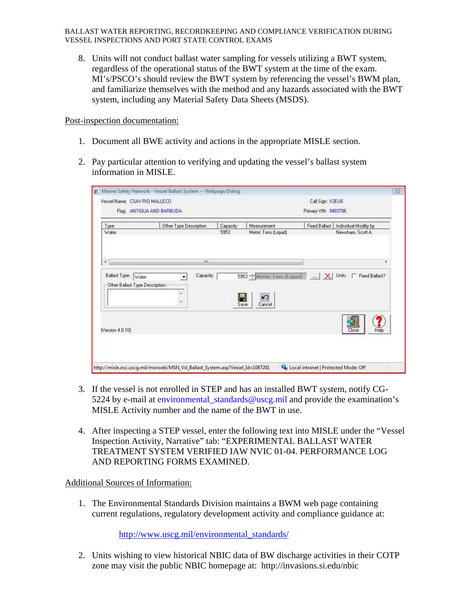BALLAST WATER REPORTING, RECORDKEEPING AND COMPLIANCE VERIFICATION DURING VESSEL INSPECTIONS AND PORT STATE CONTROL EXAMS

8. Units will not conduct ballast water sampling for vessels utilizing a BWT system, regardless of the operational status of the BWT system at the time of the exam. MI's/PSCO's should review the BWT system by referencing the vessel's BWM plan, and familiarize themselves with the method and any hazards associated with the BWT system, including any Material Safety Data Sheets (MSDS).

Post-inspection documentation:

- 1. Document all BWE activity and actions in the appropriate MISLE section.
- 2. Pay particular attention to verifying and updating the vessel's ballast system information in MISLE.

| Type<br>Water                                             | Other Type Description | Capacity<br>5953 | Measurement<br>Metric Tons (Liquid) | <b>Fixed Ballast</b> | Individual Modifiy by<br>Newsham, Scott A. |  |
|-----------------------------------------------------------|------------------------|------------------|-------------------------------------|----------------------|--------------------------------------------|--|
| ∢                                                         | m                      |                  |                                     |                      | k                                          |  |
| Ballast Type:<br>Water<br>Other Ballast Type Description: | Capacity:              |                  | 5953 Metric Tons (Liquid)           | Units                | Fixed Ballast?                             |  |
|                                                           |                        | Save             | ĸ<br>n<br>Cancel                    |                      |                                            |  |
| (Version 4.0.10)                                          |                        |                  |                                     |                      | Close<br>Help                              |  |

- 3. If the vessel is not enrolled in STEP and has an installed BWT system, notify CG-5224 by e-mail at [environmental\\_standards@uscg.mil](mailto:environmental_standards@uscg.mil) and provide the examination's MISLE Activity number and the name of the BWT in use.
- 4. After inspecting a STEP vessel, enter the following text into MISLE under the "Vessel Inspection Activity, Narrative" tab: "EXPERIMENTAL BALLAST WATER TREATMENT SYSTEM VERIFIED IAW NVIC 01-04. PERFORMANCE LOG AND REPORTING FORMS EXAMINED.

### Additional Sources of Information:

1. The Environmental Standards Division maintains a BWM web page containing current regulations, regulatory development activity and compliance guidance at:

[http://www.uscg.mil/environmental\\_standards/](http://www.uscg.mil/environmental_standards/)

2. Units wishing to view historical NBIC data of BW discharge activities in their COTP zone may visit the public NBIC homepage at: <http://invasions.si.edu/nbic>